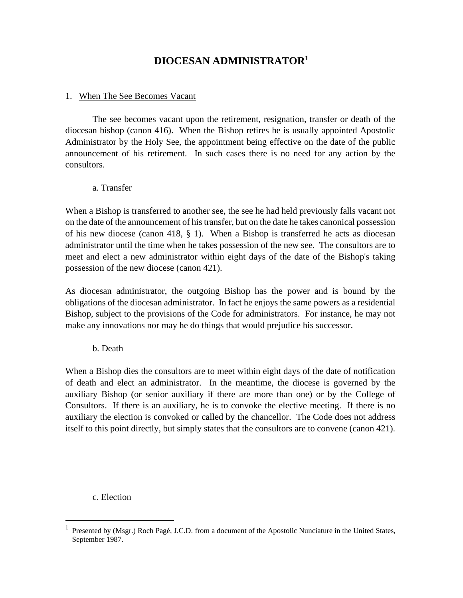# **DIOCESAN ADMINISTRATOR<sup>1</sup>**

#### 1. When The See Becomes Vacant

The see becomes vacant upon the retirement, resignation, transfer or death of the diocesan bishop (canon 416). When the Bishop retires he is usually appointed Apostolic Administrator by the Holy See, the appointment being effective on the date of the public announcement of his retirement. In such cases there is no need for any action by the consultors.

#### a. Transfer

When a Bishop is transferred to another see, the see he had held previously falls vacant not on the date of the announcement of his transfer, but on the date he takes canonical possession of his new diocese (canon 418, § 1). When a Bishop is transferred he acts as diocesan administrator until the time when he takes possession of the new see. The consultors are to meet and elect a new administrator within eight days of the date of the Bishop's taking possession of the new diocese (canon 421).

As diocesan administrator, the outgoing Bishop has the power and is bound by the obligations of the diocesan administrator. In fact he enjoys the same powers as a residential Bishop, subject to the provisions of the Code for administrators. For instance, he may not make any innovations nor may he do things that would prejudice his successor.

b. Death

When a Bishop dies the consultors are to meet within eight days of the date of notification of death and elect an administrator. In the meantime, the diocese is governed by the auxiliary Bishop (or senior auxiliary if there are more than one) or by the College of Consultors. If there is an auxiliary, he is to convoke the elective meeting. If there is no auxiliary the election is convoked or called by the chancellor. The Code does not address itself to this point directly, but simply states that the consultors are to convene (canon 421).

c. Election

<sup>&</sup>lt;sup>1</sup> Presented by (Msgr.) Roch Pagé, J.C.D. from a document of the Apostolic Nunciature in the United States, September 1987.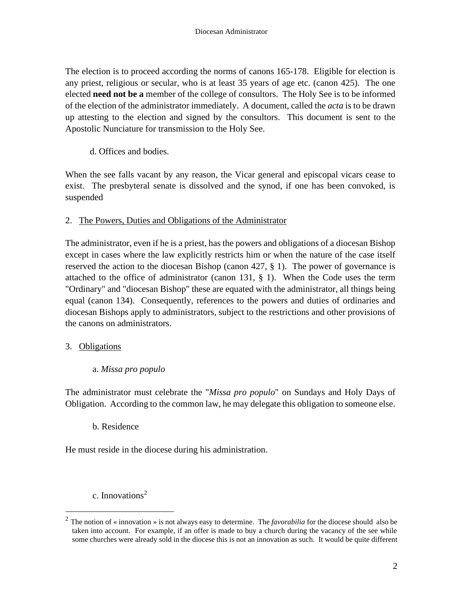The election is to proceed according the norms of canons 165-178. Eligible for election is any priest, religious or secular, who is at least 35 years of age etc. (canon 425). The one elected **need not be a** member of the college of consultors. The Holy See is to be informed of the election of the administrator immediately. A document, called the *acta* is to be drawn up attesting to the election and signed by the consultors. This document is sent to the Apostolic Nunciature for transmission to the Holy See.

d. Offices and bodies.

When the see falls vacant by any reason, the Vicar general and episcopal vicars cease to exist. The presbyteral senate is dissolved and the synod, if one has been convoked, is suspended

## 2. The Powers, Duties and Obligations of the Administrator

The administrator, even if he is a priest, has the powers and obligations of a diocesan Bishop except in cases where the law explicitly restricts him or when the nature of the case itself reserved the action to the diocesan Bishop (canon 427, § 1). The power of governance is attached to the office of administrator (canon 131,  $\S$  1). When the Code uses the term "Ordinary" and "diocesan Bishop" these are equated with the administrator, all things being equal (canon 134). Consequently, references to the powers and duties of ordinaries and diocesan Bishops apply to administrators, subject to the restrictions and other provisions of the canons on administrators.

#### 3. Obligations

#### a. *Missa pro populo*

The administrator must celebrate the "*Missa pro populo*" on Sundays and Holy Days of Obligation. According to the common law, he may delegate this obligation to someone else.

#### b. Residence

He must reside in the diocese during his administration.

c. Innovations<sup>2</sup>

<sup>2</sup> The notion of « innovation » is not always easy to determine. The *favorabilia* for the diocese should also be taken into account. For example, if an offer is made to buy a church during the vacancy of the see while some churches were already sold in the diocese this is not an innovation as such. It would be quite different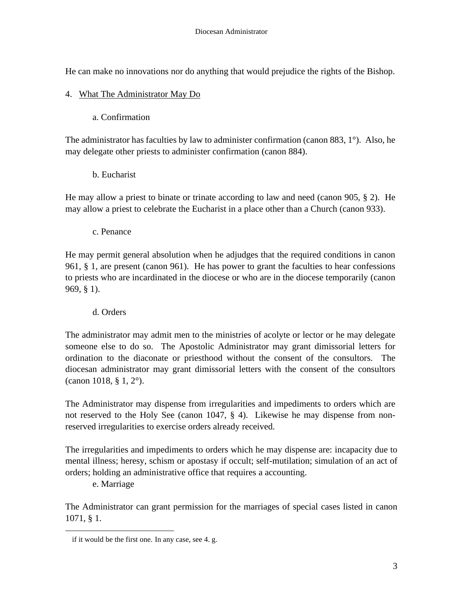He can make no innovations nor do anything that would prejudice the rights of the Bishop.

## 4. What The Administrator May Do

a. Confirmation

The administrator has faculties by law to administer confirmation (canon 883, 1°). Also, he may delegate other priests to administer confirmation (canon 884).

b. Eucharist

He may allow a priest to binate or trinate according to law and need (canon 905, § 2). He may allow a priest to celebrate the Eucharist in a place other than a Church (canon 933).

c. Penance

He may permit general absolution when he adjudges that the required conditions in canon 961, § 1, are present (canon 961). He has power to grant the faculties to hear confessions to priests who are incardinated in the diocese or who are in the diocese temporarily (canon 969, § 1).

d. Orders

The administrator may admit men to the ministries of acolyte or lector or he may delegate someone else to do so. The Apostolic Administrator may grant dimissorial letters for ordination to the diaconate or priesthood without the consent of the consultors. The diocesan administrator may grant dimissorial letters with the consent of the consultors (canon 1018, § 1, 2°).

The Administrator may dispense from irregularities and impediments to orders which are not reserved to the Holy See (canon 1047, § 4). Likewise he may dispense from nonreserved irregularities to exercise orders already received.

The irregularities and impediments to orders which he may dispense are: incapacity due to mental illness; heresy, schism or apostasy if occult; self-mutilation; simulation of an act of orders; holding an administrative office that requires a accounting.

e. Marriage

The Administrator can grant permission for the marriages of special cases listed in canon 1071, § 1.

if it would be the first one. In any case, see 4. g.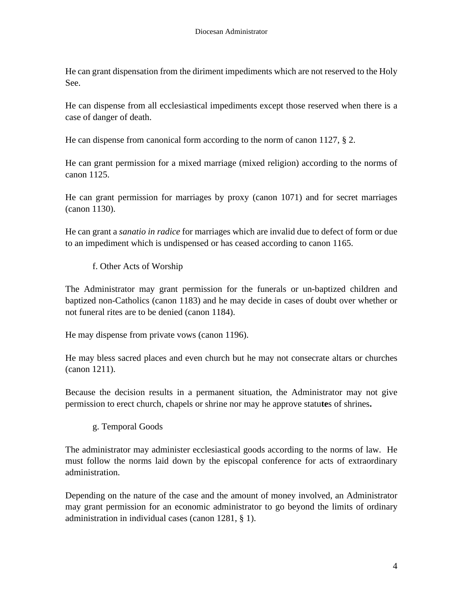He can grant dispensation from the diriment impediments which are not reserved to the Holy See.

He can dispense from all ecclesiastical impediments except those reserved when there is a case of danger of death.

He can dispense from canonical form according to the norm of canon 1127, § 2.

He can grant permission for a mixed marriage (mixed religion) according to the norms of canon 1125.

He can grant permission for marriages by proxy (canon 1071) and for secret marriages (canon 1130).

He can grant a *sanatio in radice* for marriages which are invalid due to defect of form or due to an impediment which is undispensed or has ceased according to canon 1165.

f. Other Acts of Worship

The Administrator may grant permission for the funerals or un-baptized children and baptized non-Catholics (canon 1183) and he may decide in cases of doubt over whether or not funeral rites are to be denied (canon 1184).

He may dispense from private vows (canon 1196).

He may bless sacred places and even church but he may not consecrate altars or churches (canon 1211).

Because the decision results in a permanent situation, the Administrator may not give permission to erect church, chapels or shrine nor may he approve statu**te**s of shrines**.**

g. Temporal Goods

The administrator may administer ecclesiastical goods according to the norms of law. He must follow the norms laid down by the episcopal conference for acts of extraordinary administration.

Depending on the nature of the case and the amount of money involved, an Administrator may grant permission for an economic administrator to go beyond the limits of ordinary administration in individual cases (canon 1281, § 1).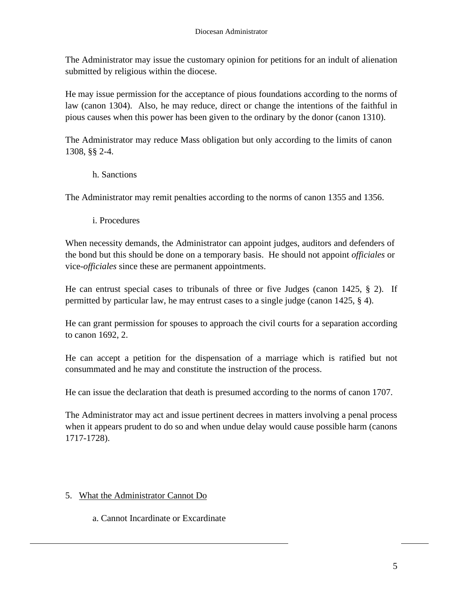The Administrator may issue the customary opinion for petitions for an indult of alienation submitted by religious within the diocese.

He may issue permission for the acceptance of pious foundations according to the norms of law (canon 1304). Also, he may reduce, direct or change the intentions of the faithful in pious causes when this power has been given to the ordinary by the donor (canon 1310).

The Administrator may reduce Mass obligation but only according to the limits of canon 1308, §§ 2-4.

h. Sanctions

The Administrator may remit penalties according to the norms of canon 1355 and 1356.

i. Procedures

When necessity demands, the Administrator can appoint judges, auditors and defenders of the bond but this should be done on a temporary basis. He should not appoint *officiales* or vice-*officiales* since these are permanent appointments.

He can entrust special cases to tribunals of three or five Judges (canon 1425, § 2). If permitted by particular law, he may entrust cases to a single judge (canon 1425, § 4).

He can grant permission for spouses to approach the civil courts for a separation according to canon 1692, 2.

He can accept a petition for the dispensation of a marriage which is ratified but not consummated and he may and constitute the instruction of the process.

He can issue the declaration that death is presumed according to the norms of canon 1707.

The Administrator may act and issue pertinent decrees in matters involving a penal process when it appears prudent to do so and when undue delay would cause possible harm (canons 1717-1728).

## 5. What the Administrator Cannot Do

a. Cannot Incardinate or Excardinate